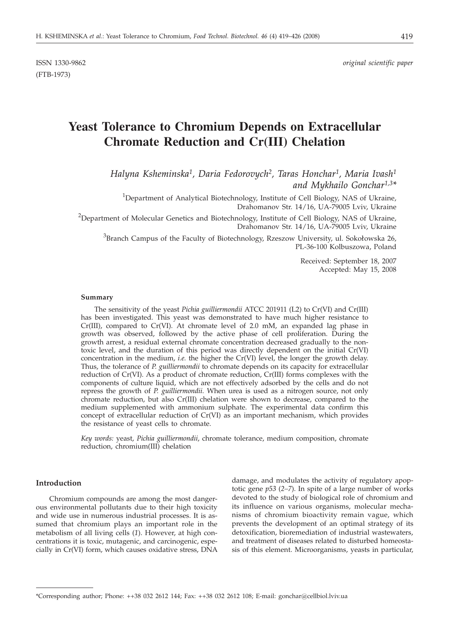ISSN 1330-9862 *original scientific paper*

# **Yeast Tolerance to Chromium Depends on Extracellular Chromate Reduction and Cr(III) Chelation**

*Halyna Ksheminska1, Daria Fedorovych2, Taras Honchar1, Maria Ivash1 and Mykhailo Gonchar1,3\**

<sup>1</sup>Department of Analytical Biotechnology, Institute of Cell Biology, NAS of Ukraine, Drahomanov Str. 14/16, UA-79005 Lviv, Ukraine

<sup>2</sup>Department of Molecular Genetics and Biotechnology, Institute of Cell Biology, NAS of Ukraine, Drahomanov Str. 14/16, UA-79005 Lviv, Ukraine

<sup>3</sup>Branch Campus of the Faculty of Biotechnology, Rzeszow University, ul. Sokołowska 26, PL-36-100 Kolbuszowa, Poland

> Received: September 18, 2007 Accepted: May 15, 2008

#### **Summary**

The sensitivity of the yeast *Pichia guilliermondii* ATCC 201911 (L2) to Cr(VI) and Cr(III) has been investigated. This yeast was demonstrated to have much higher resistance to  $Cr(III)$ , compared to  $Cr(VI)$ . At chromate level of 2.0 mM, an expanded lag phase in growth was observed, followed by the active phase of cell proliferation. During the growth arrest, a residual external chromate concentration decreased gradually to the nontoxic level, and the duration of this period was directly dependent on the initial Cr(VI) concentration in the medium, *i.e.* the higher the Cr(VI) level, the longer the growth delay. Thus, the tolerance of *P. guilliermondii* to chromate depends on its capacity for extracellular reduction of Cr(VI). As a product of chromate reduction, Cr(III) forms complexes with the components of culture liquid, which are not effectively adsorbed by the cells and do not repress the growth of *P. guilliermondii*. When urea is used as a nitrogen source, not only chromate reduction, but also Cr(III) chelation were shown to decrease, compared to the medium supplemented with ammonium sulphate. The experimental data confirm this concept of extracellular reduction of Cr(VI) as an important mechanism, which provides the resistance of yeast cells to chromate.

*Key words:* yeast, *Pichia guilliermondii*, chromate tolerance, medium composition, chromate reduction, chromium(III) chelation

## **Introduction**

Chromium compounds are among the most dangerous environmental pollutants due to their high toxicity and wide use in numerous industrial processes. It is assumed that chromium plays an important role in the metabolism of all living cells (*1*). However, at high concentrations it is toxic, mutagenic, and carcinogenic, especially in Cr(VI) form, which causes oxidative stress, DNA

damage, and modulates the activity of regulatory apoptotic gene *p53* (*2–7*). In spite of a large number of works devoted to the study of biological role of chromium and its influence on various organisms, molecular mechanisms of chromium bioactivity remain vague, which prevents the development of an optimal strategy of its detoxification, bioremediation of industrial wastewaters, and treatment of diseases related to disturbed homeostasis of this element. Microorganisms, yeasts in particular,

<sup>\*</sup>Corresponding author; Phone: ++38 032 2612 144; Fax: ++38 032 2612 108; E-mail: gonchar@cellbiol.lviv.ua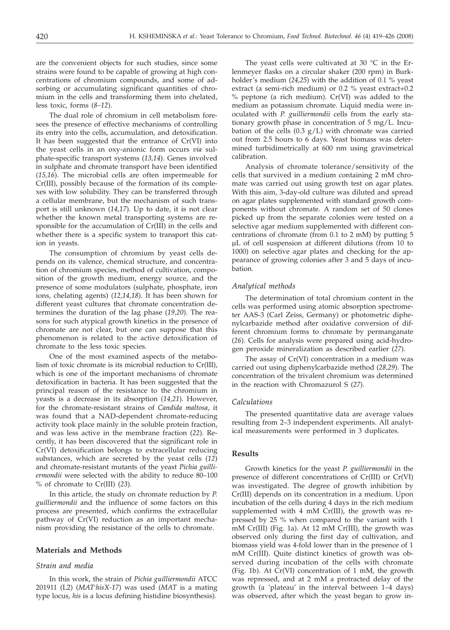are the convenient objects for such studies, since some strains were found to be capable of growing at high concentrations of chromium compounds, and some of adsorbing or accumulating significant quantities of chromium in the cells and transforming them into chelated, less toxic, forms (*8–12*).

The dual role of chromium in cell metabolism foresees the presence of effective mechanisms of controlling its entry into the cells, accumulation, and detoxification. It has been suggested that the entrance of Cr(VI) into the yeast cells in an oxy-anionic form occurs *via* sulphate-specific transport systems (*13,14*). Genes involved in sulphate and chromate transport have been identified (*15,16*). The microbial cells are often impermeable for Cr(III), possibly because of the formation of its complexes with low solubility. They can be transferred through a cellular membrane, but the mechanism of such transport is still unknown (*14,17*). Up to date, it is not clear whether the known metal transporting systems are responsible for the accumulation of Cr(III) in the cells and whether there is a specific system to transport this cation in yeasts.

The consumption of chromium by yeast cells depends on its valence, chemical structure, and concentration of chromium species, method of cultivation, composition of the growth medium, energy source, and the presence of some modulators (sulphate, phosphate, iron ions, chelating agents) (*12,14,18*). It has been shown for different yeast cultures that chromate concentration determines the duration of the lag phase (*19,20*). The reasons for such atypical growth kinetics in the presence of chromate are not clear, but one can suppose that this phenomenon is related to the active detoxification of chromate to the less toxic species.

One of the most examined aspects of the metabolism of toxic chromate is its microbial reduction to Cr(III), which is one of the important mechanisms of chromate detoxification in bacteria. It has been suggested that the principal reason of the resistance to the chromium in yeasts is a decrease in its absorption (*14,21*). However, for the chromate-resistant strains of *Candida maltosa*, it was found that a NAD-dependent chromate-reducing activity took place mainly in the soluble protein fraction, and was less active in the membrane fraction (*22*). Recently, it has been discovered that the significant role in Cr(VI) detoxification belongs to extracellular reducing substances, which are secreted by the yeast cells (*12*) and chromate-resistant mutants of the yeast *Pichia guilliermondii* were selected with the ability to reduce 80–100 % of chromate to Cr(III) (*23*).

In this article, the study on chromate reduction by *P. guilliermondii* and the influence of some factors on this process are presented, which confirms the extracellular pathway of Cr(VI) reduction as an important mechanism providing the resistance of the cells to chromate.

### **Materials and Methods**

## *Strain and media*

In this work, the strain of *Pichia guilliermondii* ATCC 201911 (L2) (*MAT*-*hisX-17*) was used (*MAT* is a mating type locus, *his* is a locus defining histidine biosynthesis).

The yeast cells were cultivated at 30 °C in the Erlenmeyer flasks on a circular shaker (200 rpm) in Burkholder's medium (*24,25*) with the addition of 0.1 % yeast extract (a semi-rich medium) or 0.2 % yeast extract+0.2 % peptone (a rich medium). Cr(VI) was added to the medium as potassium chromate. Liquid media were inoculated with *P. guilliermondii* cells from the early stationary growth phase in concentration of 5 mg/L. Incubation of the cells  $(0.3 g/L)$  with chromate was carried out from 2.5 hours to 6 days. Yeast biomass was determined turbidimetrically at 600 nm using gravimetrical calibration.

Analysis of chromate tolerance/sensitivity of the cells that survived in a medium containing 2 mM chromate was carried out using growth test on agar plates. With this aim, 3-day-old culture was diluted and spread on agar plates supplemented with standard growth components without chromate. A random set of 50 clones picked up from the separate colonies were tested on a selective agar medium supplemented with different concentrations of chromate (from 0.1 to 2 mM) by putting 5 μL of cell suspension at different dilutions (from 10 to 1000) on selective agar plates and checking for the appearance of growing colonies after 3 and 5 days of incubation.

### *Analytical methods*

The determination of total chromium content in the cells was performed using atomic absorption spectrometer AAS-3 (Carl Zeiss, Germany) or photometric diphenylcarbazide method after oxidative conversion of different chromium forms to chromate by permanganate (*26*). Cells for analysis were prepared using acid-hydrogen peroxide mineralization as described earlier (*27*).

The assay of Cr(VI) concentration in a medium was carried out using diphenylcarbazide method (*28,29*). The concentration of the trivalent chromium was determined in the reaction with Chromazurol S (*27*).

#### *Calculations*

The presented quantitative data are average values resulting from 2–3 independent experiments. All analytical measurements were performed in 3 duplicates.

## **Results**

Growth kinetics for the yeast *P. guilliermondii* in the presence of different concentrations of Cr(III) or Cr(VI) was investigated. The degree of growth inhibition by Cr(III) depends on its concentration in a medium. Upon incubation of the cells during 4 days in the rich medium supplemented with 4 mM Cr(III), the growth was repressed by 25 % when compared to the variant with 1 mM Cr(III) (Fig. 1a). At 12 mM Cr(III), the growth was observed only during the first day of cultivation, and biomass yield was 4-fold lower than in the presence of 1 mM Cr(III). Quite distinct kinetics of growth was observed during incubation of the cells with chromate (Fig. 1b). At Cr(VI) concentration of 1 mM, the growth was repressed, and at 2 mM a protracted delay of the growth (a 'plateau' in the interval between 1–4 days) was observed, after which the yeast began to grow in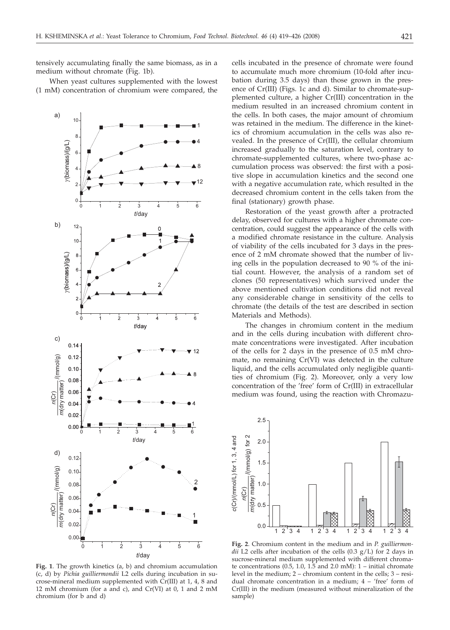tensively accumulating finally the same biomass, as in a medium without chromate (Fig. 1b).

When yeast cultures supplemented with the lowest (1 mM) concentration of chromium were compared, the



**Fig. 1**. The growth kinetics (a, b) and chromium accumulation (c, d) by *Pichia guilliermondii* L2 cells during incubation in sucrose-mineral medium supplemented with Cr(III) at 1, 4, 8 and 12 mM chromium (for a and c), and Cr(VI) at 0, 1 and 2 mM chromium (for b and d)

cells incubated in the presence of chromate were found to accumulate much more chromium (10-fold after incubation during 3.5 days) than those grown in the presence of Cr(III) (Figs. 1c and d). Similar to chromate-supplemented culture, a higher Cr(III) concentration in the medium resulted in an increased chromium content in the cells. In both cases, the major amount of chromium was retained in the medium. The difference in the kinetics of chromium accumulation in the cells was also revealed. In the presence of Cr(III), the cellular chromium increased gradually to the saturation level, contrary to chromate-supplemented cultures, where two-phase accumulation process was observed: the first with a positive slope in accumulation kinetics and the second one with a negative accumulation rate, which resulted in the decreased chromium content in the cells taken from the final (stationary) growth phase.

Restoration of the yeast growth after a protracted delay, observed for cultures with a higher chromate concentration, could suggest the appearance of the cells with a modified chromate resistance in the culture. Analysis of viability of the cells incubated for 3 days in the presence of 2 mM chromate showed that the number of living cells in the population decreased to 90 % of the initial count. However, the analysis of a random set of clones (50 representatives) which survived under the above mentioned cultivation conditions did not reveal any considerable change in sensitivity of the cells to chromate (the details of the test are described in section Materials and Methods).

The changes in chromium content in the medium and in the cells during incubation with different chromate concentrations were investigated. After incubation of the cells for 2 days in the presence of 0.5 mM chromate, no remaining Cr(VI) was detected in the culture liquid, and the cells accumulated only negligible quantities of chromium (Fig. 2). Moreover, only a very low concentration of the 'free' form of Cr(III) in extracellular medium was found, using the reaction with Chromazu-



**Fig. 2**. Chromium content in the medium and in *P. guilliermondii* L2 cells after incubation of the cells (0.3 g/L) for 2 days in sucrose-mineral medium supplemented with different chromate concentrations (0.5, 1.0, 1.5 and 2.0 mM):  $1$  – initial chromate level in the medium; 2 – chromium content in the cells; 3 – residual chromate concentration in a medium; 4 – 'free' form of Cr(III) in the medium (measured without mineralization of the sample)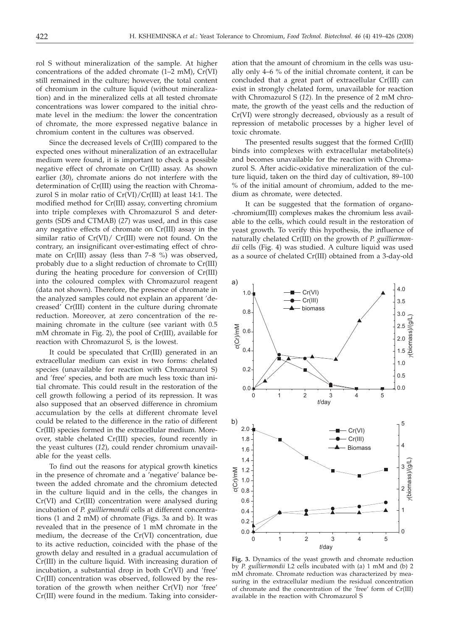rol S without mineralization of the sample. At higher concentrations of the added chromate (1–2 mM), Cr(VI) still remained in the culture; however, the total content of chromium in the culture liquid (without mineralization) and in the mineralized cells at all tested chromate concentrations was lower compared to the initial chromate level in the medium: the lower the concentration of chromate, the more expressed negative balance in chromium content in the cultures was observed.

Since the decreased levels of Cr(III) compared to the expected ones without mineralization of an extracellular medium were found, it is important to check a possible negative effect of chromate on Cr(III) assay. As shown earlier (*30*), chromate anions do not interfere with the determination of Cr(III) using the reaction with Chromazurol S in molar ratio of Cr(VI)/Cr(III) at least 14:1. The modified method for Cr(III) assay, converting chromium into triple complexes with Chromazurol S and detergents (SDS and CTMAB) (*27*) was used, and in this case any negative effects of chromate on Cr(III) assay in the similar ratio of Cr(VI)/ Cr(III) were not found. On the contrary, an insignificant over-estimating effect of chromate on Cr(III) assay (less than 7–8 %) was observed, probably due to a slight reduction of chromate to Cr(III) during the heating procedure for conversion of Cr(III) into the coloured complex with Chromazurol reagent (data not shown). Therefore, the presence of chromate in the analyzed samples could not explain an apparent 'decreased' Cr(III) content in the culture during chromate reduction. Moreover, at zero concentration of the remaining chromate in the culture (see variant with 0.5 mM chromate in Fig. 2), the pool of Cr(III), available for reaction with Chromazurol S, is the lowest.

It could be speculated that Cr(III) generated in an extracellular medium can exist in two forms: chelated species (unavailable for reaction with Chromazurol S) and 'free' species, and both are much less toxic than initial chromate. This could result in the restoration of the cell growth following a period of its repression. It was also supposed that an observed difference in chromium accumulation by the cells at different chromate level could be related to the difference in the ratio of different Cr(III) species formed in the extracellular medium. Moreover, stable chelated Cr(III) species, found recently in the yeast cultures (*12*), could render chromium unavailable for the yeast cells.

To find out the reasons for atypical growth kinetics in the presence of chromate and a 'negative' balance between the added chromate and the chromium detected in the culture liquid and in the cells, the changes in Cr(VI) and Cr(III) concentration were analysed during incubation of *P. guilliermondii* cells at different concentrations (1 and 2 mM) of chromate (Figs. 3a and b). It was revealed that in the presence of 1 mM chromate in the medium, the decrease of the Cr(VI) concentration, due to its active reduction, coincided with the phase of the growth delay and resulted in a gradual accumulation of Cr(III) in the culture liquid. With increasing duration of incubation, a substantial drop in both Cr(VI) and 'free' Cr(III) concentration was observed, followed by the restoration of the growth when neither Cr(VI) nor 'free' Cr(III) were found in the medium. Taking into consider-

ation that the amount of chromium in the cells was usually only 4–6 % of the initial chromate content, it can be concluded that a great part of extracellular Cr(III) can exist in strongly chelated form, unavailable for reaction with Chromazurol S (*12*). In the presence of 2 mM chromate, the growth of the yeast cells and the reduction of Cr(VI) were strongly decreased, obviously as a result of repression of metabolic processes by a higher level of toxic chromate.

The presented results suggest that the formed Cr(III) binds into complexes with extracellular metabolite(s) and becomes unavailable for the reaction with Chromazurol S. After acidic-oxidative mineralization of the culture liquid, taken on the third day of cultivation, 89–100 % of the initial amount of chromium, added to the medium as chromate, were detected.

It can be suggested that the formation of organo- -chromium(III) complexes makes the chromium less available to the cells, which could result in the restoration of yeast growth. To verify this hypothesis, the influence of naturally chelated Cr(III) on the growth of *P. guilliermondii* cells (Fig. 4) was studied. A culture liquid was used as a source of chelated Cr(III) obtained from a 3-day-old



**Fig. 3.** Dynamics of the yeast growth and chromate reduction by *P. guilliermondii* L2 cells incubated with (a) 1 mM and (b) 2 mM chromate. Chromate reduction was characterized by measuring in the extracellular medium the residual concentration of chromate and the concentration of the 'free' form of Cr(III) available in the reaction with Chromazurol S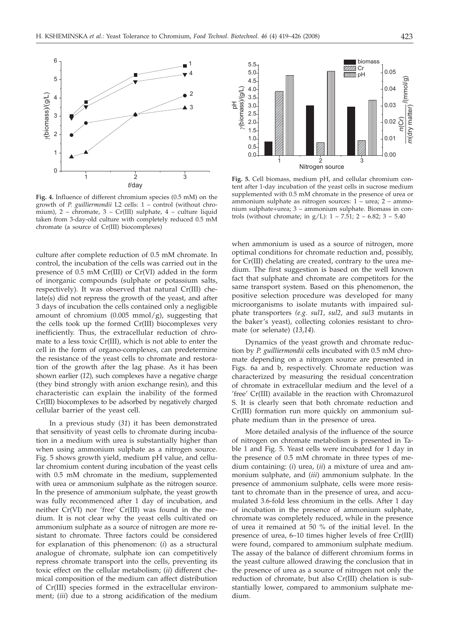

**Fig. 4.** Influence of different chromium species (0.5 mM) on the growth of *P. guilliermondii* L2 cells: 1 – control (without chromium), 2 – chromate, 3 – Cr(III) sulphate, 4 – culture liquid taken from 3-day-old culture with completely reduced 0.5 mM chromate (a source of Cr(III) biocomplexes)

culture after complete reduction of 0.5 mM chromate. In control, the incubation of the cells was carried out in the presence of 0.5 mM Cr(III) or Cr(VI) added in the form of inorganic compounds (sulphate or potassium salts, respectively). It was observed that natural Cr(III) chelate(s) did not repress the growth of the yeast, and after 3 days of incubation the cells contained only a negligible amount of chromium (0.005 mmol/g), suggesting that the cells took up the formed Cr(III) biocomplexes very inefficiently. Thus, the extracellular reduction of chromate to a less toxic Cr(III), which is not able to enter the cell in the form of organo-complexes, can predetermine the resistance of the yeast cells to chromate and restoration of the growth after the lag phase. As it has been shown earlier (*12*), such complexes have a negative charge (they bind strongly with anion exchange resin), and this characteristic can explain the inability of the formed Cr(III) biocomplexes to be adsorbed by negatively charged cellular barrier of the yeast cell.

In a previous study (*31*) it has been demonstrated that sensitivity of yeast cells to chromate during incubation in a medium with urea is substantially higher than when using ammonium sulphate as a nitrogen source. Fig. 5 shows growth yield, medium pH value, and cellular chromium content during incubation of the yeast cells with 0.5 mM chromate in the medium, supplemented with urea or ammonium sulphate as the nitrogen source. In the presence of ammonium sulphate, the yeast growth was fully recommenced after 1 day of incubation, and neither Cr(VI) nor 'free' Cr(III) was found in the medium. It is not clear why the yeast cells cultivated on ammonium sulphate as a source of nitrogen are more resistant to chromate. Three factors could be considered for explanation of this phenomenon: (*i*) as a structural analogue of chromate, sulphate ion can competitively repress chromate transport into the cells, preventing its toxic effect on the cellular metabolism; (*ii*) different chemical composition of the medium can affect distribution of Cr(III) species formed in the extracellular environment; (*iii*) due to a strong acidification of the medium



**Fig. 5.** Cell biomass, medium pH, and cellular chromium content after 1-day incubation of the yeast cells in sucrose medium supplemented with 0.5 mM chromate in the presence of urea or ammonium sulphate as nitrogen sources: 1 – urea; 2 – ammonium sulphate+urea; 3 – ammonium sulphate. Biomass in controls (without chromate; in  $g/L$ ):  $1 - 7.51$ ;  $2 - 6.82$ ;  $3 - 5.40$ 

when ammonium is used as a source of nitrogen, more optimal conditions for chromate reduction and, possibly, for Cr(III) chelating are created, contrary to the urea medium. The first suggestion is based on the well known fact that sulphate and chromate are competitors for the same transport system. Based on this phenomenon, the positive selection procedure was developed for many microorganisms to isolate mutants with impaired sulphate transporters *(e.g. sul1*, *sul2*, and *sul3* mutants in the baker's yeast), collecting colonies resistant to chromate (or selenate) (*13*,*14*).

Dynamics of the yeast growth and chromate reduction by *P. guilliermondii* cells incubated with 0.5 mM chromate depending on a nitrogen source are presented in Figs. 6a and b, respectively. Chromate reduction was characterized by measuring the residual concentration of chromate in extracellular medium and the level of a 'free' Cr(III) available in the reaction with Chromazurol S. It is clearly seen that both chromate reduction and Cr(III) formation run more quickly on ammonium sulphate medium than in the presence of urea.

More detailed analysis of the influence of the source of nitrogen on chromate metabolism is presented in Table 1 and Fig. 5. Yeast cells were incubated for 1 day in the presence of 0.5 mM chromate in three types of medium containing: (*i*) urea, (*ii*) a mixture of urea and ammonium sulphate, and (*iii*) ammonium sulphate. In the presence of ammonium sulphate, cells were more resistant to chromate than in the presence of urea, and accumulated 3.6-fold less chromium in the cells. After 1 day of incubation in the presence of ammonium sulphate, chromate was completely reduced, while in the presence of urea it remained at 50 % of the initial level. In the presence of urea, 6–10 times higher levels of free Cr(III) were found, compared to ammonium sulphate medium. The assay of the balance of different chromium forms in the yeast culture allowed drawing the conclusion that in the presence of urea as a source of nitrogen not only the reduction of chromate, but also Cr(III) chelation is substantially lower, compared to ammonium sulphate medium.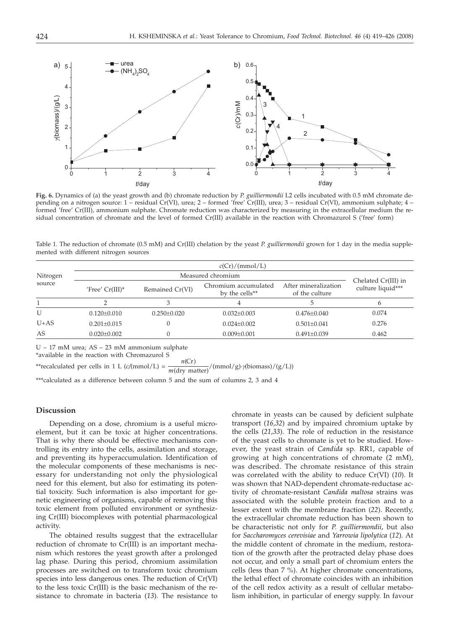

**Fig. 6.** Dynamics of (a) the yeast growth and (b) chromate reduction by *P. guilliermondii* L2 cells incubated with 0.5 mM chromate depending on a nitrogen source: 1 – residual Cr(VI), urea; 2 – formed 'free' Cr(III), urea; 3 – residual Cr(VI), ammonium sulphate; 4 – formed 'free' Cr(III), ammonium sulphate. Chromate reduction was characterized by measuring in the extracellular medium the residual concentration of chromate and the level of formed Cr(III) available in the reaction with Chromazurol S ('free' form)

Table 1. The reduction of chromate (0.5 mM) and Cr(III) chelation by the yeast *P. guilliermondii* grown for 1 day in the media supplemented with different nitrogen sources

| Nitrogen<br>source | c(Cr)/(mmol/L)    |                   |                                                    |                                        |                                          |
|--------------------|-------------------|-------------------|----------------------------------------------------|----------------------------------------|------------------------------------------|
|                    | Measured chromium |                   |                                                    |                                        |                                          |
|                    | $Tree' Cr(III)^*$ | Remained Cr(VI)   | Chromium accumulated<br>by the cells <sup>**</sup> | After mineralization<br>of the culture | Chelated Cr(III) in<br>culture liquid*** |
|                    |                   | З                 |                                                    |                                        | 6                                        |
| U                  | $0.120 \pm 0.010$ | $0.250 \pm 0.020$ | $0.032 \pm 0.003$                                  | $0.476 \pm 0.040$                      | 0.074                                    |
| $U+AS$             | $0.201 + 0.015$   | $\Omega$          | $0.024 + 0.002$                                    | $0.501 + 0.041$                        | 0.276                                    |
| AS                 | $0.020 \pm 0.002$ | 0                 | $0.009 \pm 0.001$                                  | $0.491 \pm 0.039$                      | 0.462                                    |

U – 17 mM urea; AS – 23 mM ammonium sulphate \*available in the reaction with Chromazurol S

\*\*recalculated per cells in 1 L ( $c/(mmol/L) = \frac{n(Cr)}{m(dry matter)}$ *<sup>m</sup>*(dry matter)/(mmol/g)·*g*(biomass)/(g/L))

\*\*\*calculated as a difference between column 5 and the sum of columns 2, 3 and 4

#### **Discussion**

Depending on a dose, chromium is a useful microelement, but it can be toxic at higher concentrations. That is why there should be effective mechanisms controlling its entry into the cells, assimilation and storage, and preventing its hyperaccumulation. Identification of the molecular components of these mechanisms is necessary for understanding not only the physiological need for this element, but also for estimating its potential toxicity. Such information is also important for genetic engineering of organisms, capable of removing this toxic element from polluted environment or synthesizing Cr(III) biocomplexes with potential pharmacological activity.

The obtained results suggest that the extracellular reduction of chromate to Cr(III) is an important mechanism which restores the yeast growth after a prolonged lag phase. During this period, chromium assimilation processes are switched on to transform toxic chromium species into less dangerous ones. The reduction of Cr(VI) to the less toxic Cr(III) is the basic mechanism of the resistance to chromate in bacteria (*13*). The resistance to chromate in yeasts can be caused by deficient sulphate transport (*16,32*) and by impaired chromium uptake by the cells (*21,33*). The role of reduction in the resistance of the yeast cells to chromate is yet to be studied. However, the yeast strain of *Candida* sp*.* RR1, capable of growing at high concentrations of chromate (2 mM), was described. The chromate resistance of this strain was correlated with the ability to reduce Cr(VI) (*10*). It was shown that NAD-dependent chromate-reductase activity of chromate-resistant *Candida maltosa* strains was associated with the soluble protein fraction and to a lesser extent with the membrane fraction (*22*). Recently, the extracellular chromate reduction has been shown to be characteristic not only for *P. guilliermondii*, but also for *Saccharomyces cerevisiae* and *Yarrowia lipolytica* (*12*). At the middle content of chromate in the medium, restoration of the growth after the protracted delay phase does not occur, and only a small part of chromium enters the cells (less than 7 %). At higher chromate concentrations, the lethal effect of chromate coincides with an inhibition of the cell redox activity as a result of cellular metabolism inhibition, in particular of energy supply. In favour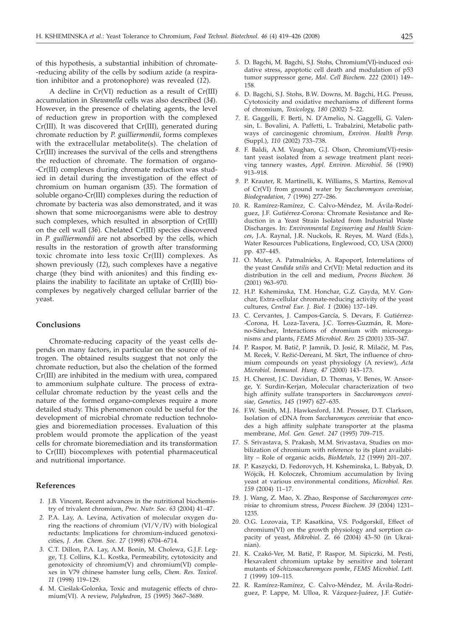of this hypothesis, a substantial inhibition of chromate- -reducing ability of the cells by sodium azide (a respiration inhibitor and a protonophore) was revealed (*12*).

A decline in Cr(VI) reduction as a result of Cr(III) accumulation in *Shewanella* cells was also described (*34*). However, in the presence of chelating agents, the level of reduction grew in proportion with the complexed Cr(III). It was discovered that Cr(III), generated during chromate reduction by *P. guilliermondii*, forms complexes with the extracellular metabolite(s). The chelation of Cr(III) increases the survival of the cells and strengthens the reduction of chromate. The formation of organo- -Cr(III) complexes during chromate reduction was studied in detail during the investigation of the effect of chromium on human organism (*35*). The formation of soluble organo-Cr(III) complexes during the reduction of chromate by bacteria was also demonstrated, and it was shown that some microorganisms were able to destroy such complexes, which resulted in absorption of  $Cr(III)$ on the cell wall (*36*). Chelated Cr(III) species discovered in *P. guilliermondii* are not absorbed by the cells, which results in the restoration of growth after transforming toxic chromate into less toxic Cr(III) complexes. As shown previously (*12*), such complexes have a negative charge (they bind with anionites) and this finding explains the inability to facilitate an uptake of Cr(III) biocomplexes by negatively charged cellular barrier of the yeast.

## **Conclusions**

Chromate-reducing capacity of the yeast cells depends on many factors, in particular on the source of nitrogen. The obtained results suggest that not only the chromate reduction, but also the chelation of the formed Cr(III) are inhibited in the medium with urea, compared to ammonium sulphate culture. The process of extracellular chromate reduction by the yeast cells and the nature of the formed organo-complexes require a more detailed study. This phenomenon could be useful for the development of microbial chromate reduction technologies and bioremediation processes. Evaluation of this problem would promote the application of the yeast cells for chromate bioremediation and its transformation to Cr(III) biocomplexes with potential pharmaceutical and nutritional importance.

## **References**

- *1.* J.B. Vincent, Recent advances in the nutritional biochemistry of trivalent chromium, *Proc. Nutr. Soc. 63* (2004) 41–47.
- *2.* P.A. Lay, A. Levina, Activation of molecular oxygen during the reactions of chromium (VI/V/IV) with biological reductants: Implications for chromium-induced genotoxicities, *J. Am. Chem. Soc. 27* (1998) 6704–6714.
- *3.* C.T. Dillon, P.A. Lay, A.M. Bonin, M. Cholewa, G.J.F. Legge, T.J. Collins, K.L. Kostka, Permeability, cytotoxicity and genotoxicity of chromium(V) and chromium(VI) complexes in V79 chinese hamster lung cells, *Chem. Res. Toxicol. 11* (1998) 119–129.
- 4. M. Cieślak-Golonka, Toxic and mutagenic effects of chromium(VI). A review, *Polyhedron, 15* (1995) 3667–3689.
- *5.* D. Bagchi, M. Bagchi, S.J. Stohs, Chromium(VI)-induced oxidative stress, apoptotic cell death and modulation of p53 tumor suppressor gene, *Mol. Cell Biochem. 222* (2001) 149– 158.
- *6.* D. Bagchi, S.J. Stohs, B.W. Downs, M. Bagchi, H.G. Preuss, Cytotoxicity and oxidative mechanisms of different forms of chromium, *Toxicology, 180* (2002) 5–22.
- *7.* E. Gaggelli, F. Berti, N. D'Amelio, N. Gaggelli, G. Valensin, L. Bovalini, A. Paffetti, L. Trabalzini, Metabolic pathways of carcinogenic chromium, *Environ. Health Persp.* (Suppl.), *110* (2002) 733–738.
- *8.* F. Baldi, A.M. Vaughan, G.J. Olson, Chromium(VI)-resistant yeast isolated from a sewage treatment plant receiving tannery wastes, *Appl. Environ. Microbiol. 56* (1990) 913–918.
- *9.* P. Krauter, R. Martinelli, K. Williams, S. Martins, Removal of Cr(VI) from ground water by *Saccharomyces cerevisiae*, *Biodegradation, 7* (1996) 277–286.
- *10.* R. Ramírez-Ramírez, C. Calvo-Méndez, M. Ávila-Rodríguez, J.F. Gutiérrez-Corona: Chromate Resistance and Reduction in a Yeast Strain Isolated from Industrial Waste Discharges. In: *Environmental Engineering and Health Sciences*, J.A. Raynal, J.R. Nuckols, R. Reyes, M. Ward (Eds.), Water Resources Publications, Englewood, CO, USA (2000) pp. 437–445.
- *11.* O. Muter, A. Patmalnieks, A. Rapoport, Interrelations of the yeast *Candida utilis* and Cr(VI): Metal reduction and its distribution in the cell and medium, *Process Biochem. 36* (2001) 963–970.
- *12.* H.P. Ksheminska, T.M. Honchar, G.Z. Gayda, M.V. Gonchar, Extra-cellular chromate-reducing activity of the yeast cultures, *Central Eur. J. Biol. 1* (2006) 137–149.
- *13.* C. Cervantes, J. Campos-García, S. Devars, F. Gutiérrez- -Corona, H. Loza-Tavera, J.C. Torres-Guzmán, R. Moreno-Sánchez, Interactions of chromium with microorganisms and plants, *FEMS Microbiol. Rev. 25* (2001) 335–347.
- 14. P. Raspor, M. Batič, P. Jamnik, D. Josić, R. Milačič, M. Pas, M. Recek, V. Režić-Dereani, M. Skrt, The influence of chromium compounds on yeast physiology (A review), *Acta Microbiol. Immunol. Hung. 47* (2000) 143–173.
- *15.* H. Cherest, J.C. Davidian, D. Thomas, V. Benes, W. Ansorge, Y. Surdin-Kerjan, Molecular characterization of two high affinity sulfate transporters in *Saccharomyces cerevisiae*, *Genetics, 145* (1997) 627–635.
- *16.* F.W. Smith, M.J. Hawkesford, I.M. Prosser, D.T. Clarkson, Isolation of cDNA from *Saccharomyces cerevisiae* that encodes a high affinity sulphate transporter at the plasma membrane, *Mol. Gen. Genet. 247* (1995) 709–715.
- *17.* S. Srivastava, S. Prakash, M.M. Srivastava, Studies on mobilization of chromium with reference to its plant availability – Role of organic acids, *BioMetals, 12* (1999) 201–207.
- *18.* P. Kaszycki, D. Fedorovych, H. Ksheminska, L. Babyak, D. Wójcik, H. Koloczek, Chromium accumulation by living yeast at various environmental conditions, *Microbiol. Res. 159* (2004) 11–17.
- *19.* J. Wang, Z. Mao, X. Zhao, Response of *Saccharomyces cerevisiae* to chromium stress, *Process Biochem. 39* (2004) 1231– 1235.
- 20. O.G. Lozovaia, T.P. Kasatkina, V.S. Podgorskii, Effect of chromium(VI) on the growth physiology and sorption capacity of yeast, *Mikrobiol. Z. 66* (2004) 43–50 (in Ukrainian).
- 21. K. Czakó-Ver, M. Batič, P. Raspor, M. Sipiczki, M. Pesti, Hexavalent chromium uptake by sensitive and tolerant mutants of *Schizosaccharomyces pombe*, *FEMS Microbiol. Lett. 1* (1999) 109–115.
- *22.* R. Ramírez-Ramírez, C. Calvo-Méndez, M. Ávila-Rodriguez, P. Lappe, M. Ulloa, R. Vázquez-Juárez, J.F. Gutiér-